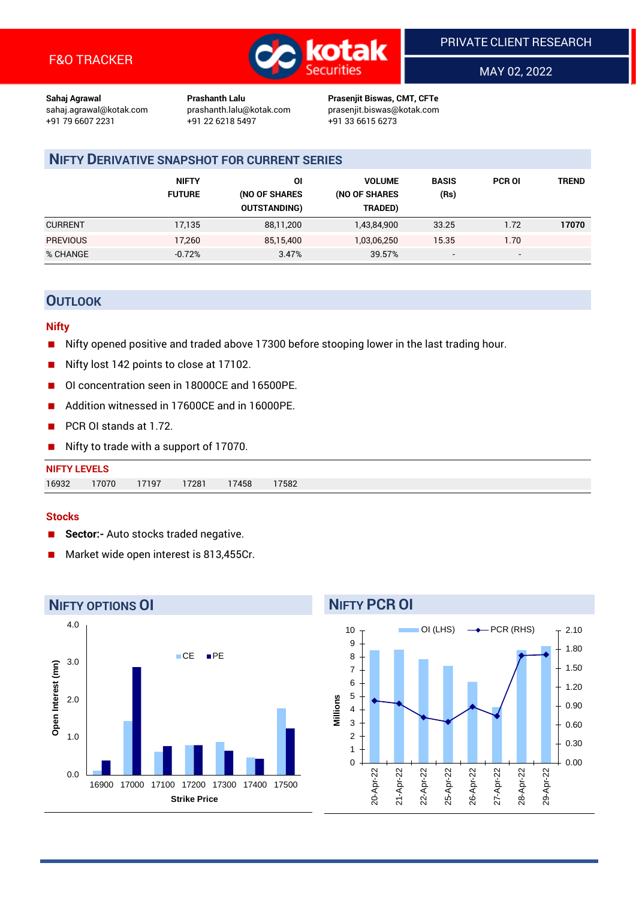

MAY 02, 2022

**Sahaj Agrawal Prashanth Lalu Prasenjit Biswas, CMT, CFTe** +91 22 6218 5497 +91 33 6615 6273

sahaj.agrawal@kotak.com [prashanth.lalu@kotak.com](mailto:prashanth.lalu@kotak.com) prasenjit.biswas@kotak.com

# **NIFTY DERIVATIVE SNAPSHOT FOR CURRENT SERIES**

|                 | <b>NIFTY</b><br><b>FUTURE</b> | ΟI<br>(NO OF SHARES<br><b>OUTSTANDING)</b> | <b>VOLUME</b><br>(NO OF SHARES<br>TRADED) | <b>BASIS</b><br>(Rs)     | <b>PCR OI</b> | TREND |
|-----------------|-------------------------------|--------------------------------------------|-------------------------------------------|--------------------------|---------------|-------|
| <b>CURRENT</b>  | 17,135                        | 88,11,200                                  | 1,43,84,900                               | 33.25                    | 1.72          | 17070 |
| <b>PREVIOUS</b> | 17,260                        | 85,15,400                                  | 1,03,06,250                               | 15.35                    | 1.70          |       |
| % CHANGE        | $-0.72%$                      | 3.47%                                      | 39.57%                                    | $\overline{\phantom{a}}$ | -             |       |

## **OUTLOOK**

## **Nifty**

- Nifty opened positive and traded above 17300 before stooping lower in the last trading hour.
- Nifty lost 142 points to close at 17102.
- OI concentration seen in 18000CE and 16500PE.
- Addition witnessed in 17600CE and in 16000PE.
- PCR OI stands at 1.72.
- Nifty to trade with a support of 17070.

# **NIFTY LEVELS** 16932 17070 17197 17281 17458 17582

## **Stocks**

- **Sector:-** Auto stocks traded negative.
- Market wide open interest is 813,455Cr.



# **NIFTY PCR OI**

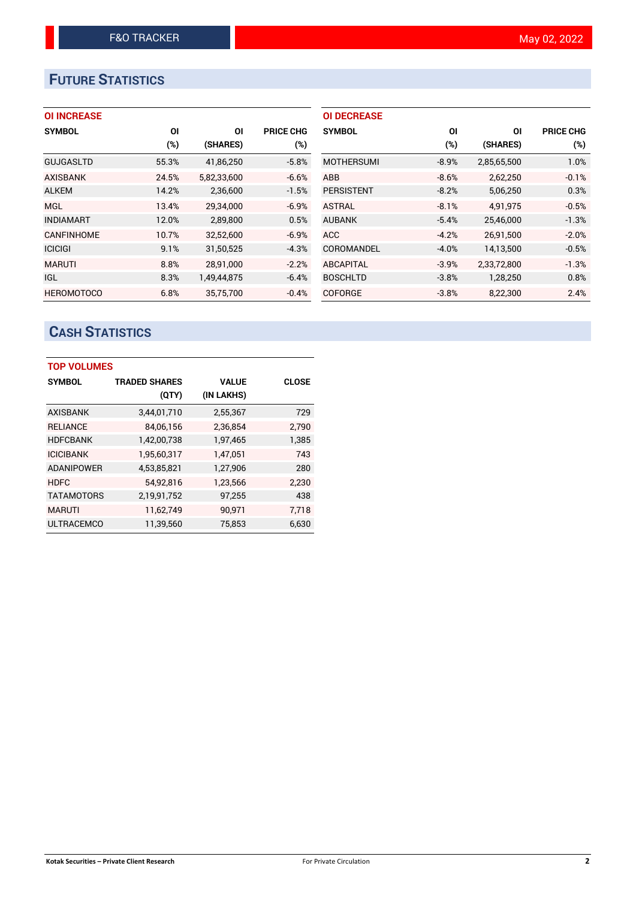# **FUTURE STATISTICS**

| <b>OI INCREASE</b> |  |  |  |  |
|--------------------|--|--|--|--|
|--------------------|--|--|--|--|

| <b>SYMBOL</b>     | ΟI     | OI          | <b>PRICE CHG</b> |
|-------------------|--------|-------------|------------------|
|                   | $(\%)$ | (SHARES)    | $(\%)$           |
| <b>GUJGASLTD</b>  | 55.3%  | 41,86,250   | $-5.8%$          |
| <b>AXISBANK</b>   | 24.5%  | 5,82,33,600 | $-6.6%$          |
| <b>ALKEM</b>      | 14.2%  | 2,36,600    | $-1.5%$          |
| <b>MGL</b>        | 13.4%  | 29.34.000   | $-6.9%$          |
| <b>INDIAMART</b>  | 12.0%  | 2,89,800    | 0.5%             |
| <b>CANFINHOME</b> | 10.7%  | 32,52,600   | $-6.9%$          |
| <b>ICICIGI</b>    | 9.1%   | 31,50,525   | $-4.3%$          |
| <b>MARUTI</b>     | 8.8%   | 28.91.000   | $-2.2%$          |
| <b>IGL</b>        | 8.3%   | 1,49,44,875 | $-6.4%$          |
| <b>HEROMOTOCO</b> | 6.8%   | 35,75,700   | $-0.4%$          |

| <b>OI DECREASE</b> |         |             |                  |
|--------------------|---------|-------------|------------------|
| <b>SYMBOL</b>      | ΟI      | ΟI          | <b>PRICE CHG</b> |
|                    | (%)     | (SHARES)    | (%)              |
| <b>MOTHERSUMI</b>  | $-8.9%$ | 2,85,65,500 | 1.0%             |
| <b>ABB</b>         | $-8.6%$ | 2,62,250    | $-0.1%$          |
| <b>PERSISTENT</b>  | $-8.2%$ | 5,06,250    | 0.3%             |
| <b>ASTRAL</b>      | $-8.1%$ | 4.91.975    | $-0.5%$          |
| <b>AUBANK</b>      | $-5.4%$ | 25,46,000   | $-1.3%$          |
| <b>ACC</b>         | $-4.2%$ | 26,91,500   | $-2.0%$          |
| COROMANDEL         | $-4.0%$ | 14,13,500   | $-0.5%$          |
| <b>ABCAPITAL</b>   | $-3.9%$ | 2,33,72,800 | $-1.3%$          |
| <b>BOSCHLTD</b>    | $-3.8%$ | 1,28,250    | 0.8%             |
| <b>COFORGE</b>     | $-3.8%$ | 8,22,300    | 2.4%             |

# **CASH STATISTICS**

| <b>TOP VOLUMES</b> |                      |              |              |  |  |  |  |  |
|--------------------|----------------------|--------------|--------------|--|--|--|--|--|
| <b>SYMBOL</b>      | <b>TRADED SHARES</b> | <b>VALUE</b> | <b>CLOSE</b> |  |  |  |  |  |
|                    | (QTY)                | (IN LAKHS)   |              |  |  |  |  |  |
| AXISBANK           | 3,44,01,710          | 2,55,367     | 729          |  |  |  |  |  |
| <b>RELIANCE</b>    | 84.06.156            | 2,36,854     | 2.790        |  |  |  |  |  |
| <b>HDFCBANK</b>    | 1,42,00,738          | 1,97,465     | 1,385        |  |  |  |  |  |
| <b>ICICIBANK</b>   | 1,95,60,317          | 1,47,051     | 743          |  |  |  |  |  |
| <b>ADANIPOWER</b>  | 4,53,85,821          | 1,27,906     | 280          |  |  |  |  |  |
| <b>HDFC</b>        | 54,92,816            | 1,23,566     | 2,230        |  |  |  |  |  |
| <b>TATAMOTORS</b>  | 2,19,91,752          | 97,255       | 438          |  |  |  |  |  |
| <b>MARUTI</b>      | 11,62,749            | 90,971       | 7,718        |  |  |  |  |  |
| <b>ULTRACEMCO</b>  | 11,39,560            | 75.853       | 6,630        |  |  |  |  |  |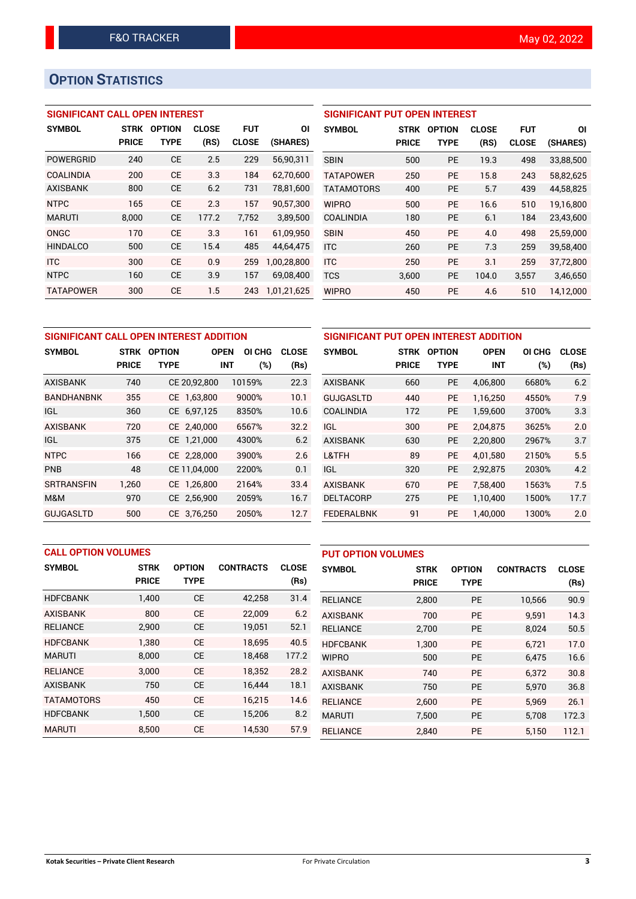# **OPTION STATISTICS**

## **SIGNIFICANT CALL OPEN INTEREST**

| <b>SYMBOL</b>    | <b>STRK</b>  | <b>OPTION</b> | <b>CLOSE</b> | <b>FUT</b>   | ΟI          |
|------------------|--------------|---------------|--------------|--------------|-------------|
|                  | <b>PRICE</b> | <b>TYPE</b>   | (RS)         | <b>CLOSE</b> | (SHARES)    |
| POWERGRID        | 240          | <b>CE</b>     | 2.5          | 229          | 56,90,311   |
| <b>COALINDIA</b> | 200          | CF            | 3.3          | 184          | 62,70,600   |
| <b>AXISBANK</b>  | 800          | <b>CE</b>     | 6.2          | 731          | 78,81,600   |
| <b>NTPC</b>      | 165          | <b>CE</b>     | 2.3          | 157          | 90,57,300   |
| <b>MARUTI</b>    | 8,000        | <b>CE</b>     | 177.2        | 7.752        | 3,89,500    |
| ONGC             | 170          | <b>CE</b>     | 3.3          | 161          | 61.09.950   |
| <b>HINDALCO</b>  | 500          | <b>CE</b>     | 15.4         | 485          | 44,64,475   |
| <b>ITC</b>       | 300          | <b>CE</b>     | 0.9          | 259          | 1,00,28,800 |
| <b>NTPC</b>      | 160          | <b>CE</b>     | 3.9          | 157          | 69,08,400   |
| <b>TATAPOWER</b> | 300          | СE            | 1.5          | 243          | 1.01.21.625 |

| <b>SIGNIFICANT PUT OPEN INTEREST</b> |             |               |              |              |           |  |  |  |
|--------------------------------------|-------------|---------------|--------------|--------------|-----------|--|--|--|
| <b>SYMBOL</b>                        | <b>STRK</b> | <b>OPTION</b> | <b>CLOSE</b> | <b>FUT</b>   | ΟI        |  |  |  |
|                                      | PRICE       | <b>TYPE</b>   | (RS)         | <b>CLOSE</b> | (SHARES)  |  |  |  |
| <b>SBIN</b>                          | 500         | <b>PE</b>     | 19.3         | 498          | 33,88,500 |  |  |  |
| <b>TATAPOWER</b>                     | 250         | <b>PE</b>     | 15.8         | 243          | 58,82,625 |  |  |  |
| <b>TATAMOTORS</b>                    | 400         | <b>PE</b>     | 5.7          | 439          | 44,58,825 |  |  |  |
| <b>WIPRO</b>                         | 500         | PE            | 16.6         | 510          | 19.16.800 |  |  |  |
| <b>COALINDIA</b>                     | 180         | PE            | 6.1          | 184          | 23,43,600 |  |  |  |
| <b>SBIN</b>                          | 450         | РE            | 4.0          | 498          | 25,59,000 |  |  |  |
| <b>ITC</b>                           | 260         | <b>PE</b>     | 7.3          | 259          | 39,58,400 |  |  |  |
| <b>ITC</b>                           | 250         | PE            | 3.1          | 259          | 37,72,800 |  |  |  |
| <b>TCS</b>                           | 3,600       | <b>PE</b>     | 104.0        | 3,557        | 3,46,650  |  |  |  |
| WIPRO                                | 450         | PE            | 4.6          | 510          | 14,12,000 |  |  |  |

| SIGNIFICANT CALL OPEN INTEREST ADDITION | <b>SIGNIFICA</b>            |                              |              |                                |                      |                  |
|-----------------------------------------|-----------------------------|------------------------------|--------------|--------------------------------|----------------------|------------------|
| <b>SYMBOL</b>                           | <b>STRK</b><br><b>PRICE</b> | <b>OPTION</b><br><b>TYPE</b> | <b>OPEN</b>  | OI CHG<br><b>INT</b><br>$(\%)$ | <b>CLOSE</b><br>(Rs) | <b>SYMBOL</b>    |
| <b>AXISBANK</b>                         | 740                         |                              | CE 20,92,800 | 10159%                         | 22.3                 | <b>AXISBANK</b>  |
| <b>BANDHANBNK</b>                       | 355                         |                              | CE 1,63,800  | 9000%                          | 10.1                 | <b>GUJGASLTI</b> |
| IGL                                     | 360                         |                              | CE 6,97,125  | 8350%                          | 10.6                 | <b>COALINDIA</b> |
| <b>AXISBANK</b>                         | 720                         |                              | CE 2,40,000  | 6567%                          | 32.2                 | <b>IGL</b>       |
| <b>IGL</b>                              | 375                         |                              | CE 1,21,000  | 4300%                          | 6.2                  | <b>AXISBANK</b>  |
| <b>NTPC</b>                             | 166                         |                              | CE 2,28,000  | 3900%                          | 2.6                  | L&TFH            |
| <b>PNB</b>                              | 48                          |                              | CE 11,04,000 | 2200%                          | 0.1                  | <b>IGL</b>       |
| <b>SRTRANSFIN</b>                       | 1,260                       |                              | CE 1,26,800  | 2164%                          | 33.4                 | <b>AXISBANK</b>  |
| M&M                                     | 970                         |                              | CE 2,56,900  | 2059%                          | 16.7                 | <b>DELTACORE</b> |
| <b>GUJGASLTD</b>                        | 500                         |                              | CE 3,76,250  | 2050%                          | 12.7                 | <b>FEDERALBN</b> |

| SIGNIFICANT PUT OPEN INTEREST ADDITION |              |               |             |        |              |  |  |  |
|----------------------------------------|--------------|---------------|-------------|--------|--------------|--|--|--|
| <b>SYMBOL</b>                          | <b>STRK</b>  | <b>OPTION</b> | <b>OPEN</b> | OI CHG | <b>CLOSE</b> |  |  |  |
|                                        | <b>PRICE</b> | <b>TYPE</b>   | <b>INT</b>  | (%)    | (Rs)         |  |  |  |
| <b>AXISBANK</b>                        | 660          | <b>PE</b>     | 4,06,800    | 6680%  | 6.2          |  |  |  |
| <b>GUJGASLTD</b>                       | 440          | <b>PE</b>     | 1,16,250    | 4550%  | 7.9          |  |  |  |
| <b>COALINDIA</b>                       | 172          | <b>PE</b>     | 1,59,600    | 3700%  | 3.3          |  |  |  |
| IGL                                    | 300          | <b>PE</b>     | 2,04,875    | 3625%  | 2.0          |  |  |  |
| <b>AXISBANK</b>                        | 630          | <b>PE</b>     | 2,20,800    | 2967%  | 3.7          |  |  |  |
| L&TFH                                  | 89           | PE            | 4.01.580    | 2150%  | 5.5          |  |  |  |
| IGL                                    | 320          | <b>PE</b>     | 2,92,875    | 2030%  | 4.2          |  |  |  |
| <b>AXISBANK</b>                        | 670          | <b>PE</b>     | 7,58,400    | 1563%  | 7.5          |  |  |  |
| <b>DELTACORP</b>                       | 275          | <b>PE</b>     | 1,10,400    | 1500%  | 17.7         |  |  |  |
| <b>FEDERALBNK</b>                      | 91           | PE            | 1,40,000    | 1300%  | 2.0          |  |  |  |

|                   | <b>CALL OPTION VOLUMES</b> |               |                  |              | <b>PUT OPTION VOLUMES</b> |              |               |                  |              |
|-------------------|----------------------------|---------------|------------------|--------------|---------------------------|--------------|---------------|------------------|--------------|
| <b>SYMBOL</b>     | <b>STRK</b>                | <b>OPTION</b> | <b>CONTRACTS</b> | <b>CLOSE</b> | <b>SYMBOL</b>             | <b>STRK</b>  | <b>OPTION</b> | <b>CONTRACTS</b> | <b>CLOSE</b> |
|                   | <b>PRICE</b>               | <b>TYPE</b>   |                  | (Rs)         |                           | <b>PRICE</b> | <b>TYPE</b>   |                  | (Rs)         |
| <b>HDFCBANK</b>   | 1,400                      | <b>CE</b>     | 42,258           | 31.4         | <b>RELIANCE</b>           | 2,800        | <b>PE</b>     | 10,566           | 90.9         |
| <b>AXISBANK</b>   | 800                        | <b>CE</b>     | 22,009           | 6.2          | <b>AXISBANK</b>           | 700          | <b>PE</b>     | 9.591            | 14.3         |
| <b>RELIANCE</b>   | 2,900                      | <b>CE</b>     | 19,051           | 52.1         | <b>RELIANCE</b>           | 2,700        | <b>PE</b>     | 8,024            | 50.5         |
| <b>HDFCBANK</b>   | 1.380                      | <b>CE</b>     | 18,695           | 40.5         | <b>HDFCBANK</b>           | 1,300        | <b>PE</b>     | 6.721            | 17.0         |
| <b>MARUTI</b>     | 8,000                      | <b>CE</b>     | 18,468           | 177.2        | <b>WIPRO</b>              | 500          | <b>PE</b>     | 6.475            | 16.6         |
| <b>RELIANCE</b>   | 3.000                      | <b>CE</b>     | 18.352           | 28.2         | <b>AXISBANK</b>           | 740          | <b>PE</b>     | 6.372            | 30.8         |
| <b>AXISBANK</b>   | 750                        | <b>CE</b>     | 16,444           | 18.1         | <b>AXISBANK</b>           | 750          | <b>PE</b>     | 5,970            | 36.8         |
| <b>TATAMOTORS</b> | 450                        | <b>CE</b>     | 16,215           | 14.6         | <b>RELIANCE</b>           | 2,600        | <b>PE</b>     | 5.969            | 26.1         |
| <b>HDFCBANK</b>   | 1,500                      | <b>CE</b>     | 15,206           | 8.2          | <b>MARUTI</b>             | 7,500        | <b>PE</b>     | 5,708            | 172.3        |
| <b>MARUTI</b>     | 8.500                      | <b>CE</b>     | 14,530           | 57.9         | <b>RELIANCE</b>           | 2.840        | PE            | 5,150            | 112.1        |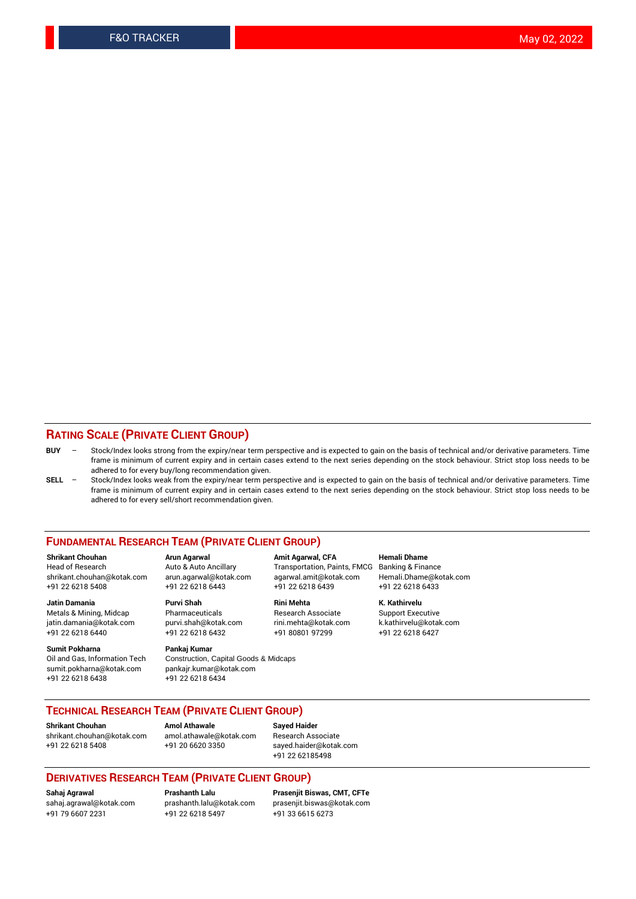## **RATING SCALE (PRIVATE CLIENT GROUP)**

- **BUY**  Stock/Index looks strong from the expiry/near term perspective and is expected to gain on the basis of technical and/or derivative parameters. Time frame is minimum of current expiry and in certain cases extend to the next series depending on the stock behaviour. Strict stop loss needs to be adhered to for every buy/long recommendation given.
- **SELL** Stock/Index looks weak from the expiry/near term perspective and is expected to gain on the basis of technical and/or derivative parameters. Time frame is minimum of current expiry and in certain cases extend to the next series depending on the stock behaviour. Strict stop loss needs to be adhered to for every sell/short recommendation given.

#### **FUNDAMENTAL RESEARCH TEAM (PRIVATE CLIENT GROUP)**

**Shrikant Chouhan Arun Agarwal Amit Agarwal, CFA Hemali Dhame** shrikant.chouhan@kotak.com arun.agarwal@kotak.com agarwal.amit@kotak.com Hemali.Dhame@kotak.com +91 22 6218 5408 +91 22 6218 6443 +91 22 6218 6439 +91 22 6218 6433

Metals & Mining, Midcap Pharmaceuticals Pharmaceuticals Research Associate Support Executive<br>
iatin.damania@kotak.com purvi.shah@kotak.com rini.mehta@kotak.com k.kathirvelu@kotak.com jatin.damania@kotak.com

**Sumit Pokharna** Pankaj Kumar<br>Oil and Gas, Information Tech Construction, sumit.pokharna@kotak.com pankajr.kumar@kotak.com

**Jatin Damania Purvi Shah Rini Mehta K. Kathirvelu**

Construction, Capital Goods & Midcaps +91 22 6218 6438 +91 22 6218 6434

Transportation, Paints, FMCG

+91 22 6218 6440 +91 22 6218 6432 +91 80801 97299 +91 22 6218 6427

## **TECHNICAL RESEARCH TEAM (PRIVATE CLIENT GROUP)**

**Shrikant Chouhan Amol Athawale Sayed Haider** [shrikant.chouhan@kotak.com](mailto:shrikant.chouhan@kotak.com) [amol.athawale@kotak.com](mailto:amol.athawale@kotak.com) Research Associate +91 22 6218 5408 +91 20 6620 3350 [sayed.haider@kotak.com](mailto:sayed.haider@kotak.com)

+91 22 62185498

### **DERIVATIVES RESEARCH TEAM (PRIVATE CLIENT GROUP)**

+91 79 6607 2231 +91 22 6218 5497 +91 33 6615 6273

**Sahaj Agrawal Prashanth Lalu Prasenjit Biswas, CMT, CFTe** [prasenjit.biswas@kotak.com](mailto:prasenjit.biswas@kotak.com)